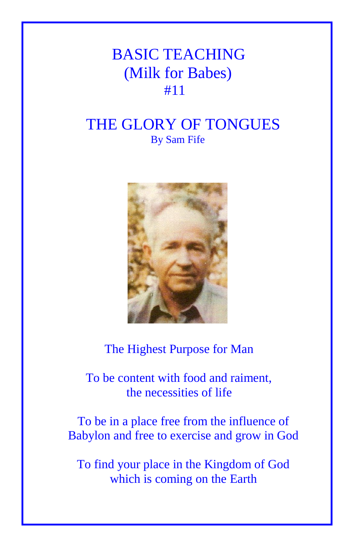## BASIC TEACHING (Milk for Babes) #11

## THE GLORY OF TONGUES By Sam Fife



The Highest Purpose for Man

 To be content with food and raiment, the necessities of life

To be in a place free from the influence of Babylon and free to exercise and grow in God

To find your place in the Kingdom of God which is coming on the Earth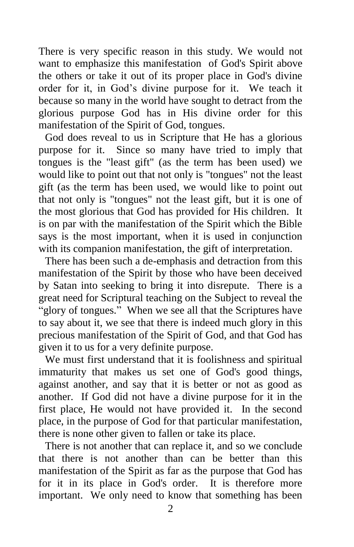There is very specific reason in this study. We would not want to emphasize this manifestation of God's Spirit above the others or take it out of its proper place in God's divine order for it, in God's divine purpose for it. We teach it because so many in the world have sought to detract from the glorious purpose God has in His divine order for this manifestation of the Spirit of God, tongues.

God does reveal to us in Scripture that He has a glorious purpose for it. Since so many have tried to imply that tongues is the "least gift" (as the term has been used) we would like to point out that not only is "tongues" not the least gift (as the term has been used, we would like to point out that not only is "tongues" not the least gift, but it is one of the most glorious that God has provided for His children. It is on par with the manifestation of the Spirit which the Bible says is the most important, when it is used in conjunction with its companion manifestation, the gift of interpretation.

There has been such a de-emphasis and detraction from this manifestation of the Spirit by those who have been deceived by Satan into seeking to bring it into disrepute. There is a great need for Scriptural teaching on the Subject to reveal the "glory of tongues." When we see all that the Scriptures have to say about it, we see that there is indeed much glory in this precious manifestation of the Spirit of God, and that God has given it to us for a very definite purpose.

We must first understand that it is foolishness and spiritual immaturity that makes us set one of God's good things, against another, and say that it is better or not as good as another. If God did not have a divine purpose for it in the first place, He would not have provided it. In the second place, in the purpose of God for that particular manifestation, there is none other given to fallen or take its place.

There is not another that can replace it, and so we conclude that there is not another than can be better than this manifestation of the Spirit as far as the purpose that God has for it in its place in God's order. It is therefore more important. We only need to know that something has been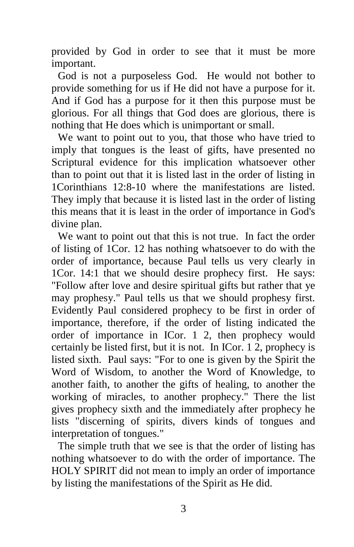provided by God in order to see that it must be more important.

God is not a purposeless God. He would not bother to provide something for us if He did not have a purpose for it. And if God has a purpose for it then this purpose must be glorious. For all things that God does are glorious, there is nothing that He does which is unimportant or small.

We want to point out to you, that those who have tried to imply that tongues is the least of gifts, have presented no Scriptural evidence for this implication whatsoever other than to point out that it is listed last in the order of listing in 1Corinthians 12:8-10 where the manifestations are listed. They imply that because it is listed last in the order of listing this means that it is least in the order of importance in God's divine plan.

We want to point out that this is not true. In fact the order of listing of 1Cor. 12 has nothing whatsoever to do with the order of importance, because Paul tells us very clearly in 1Cor. 14:1 that we should desire prophecy first. He says: "Follow after love and desire spiritual gifts but rather that ye may prophesy." Paul tells us that we should prophesy first. Evidently Paul considered prophecy to be first in order of importance, therefore, if the order of listing indicated the order of importance in ICor. 1 2, then prophecy would certainly be listed first, but it is not. In ICor. 1 2, prophecy is listed sixth. Paul says: "For to one is given by the Spirit the Word of Wisdom, to another the Word of Knowledge, to another faith, to another the gifts of healing, to another the working of miracles, to another prophecy." There the list gives prophecy sixth and the immediately after prophecy he lists "discerning of spirits, divers kinds of tongues and interpretation of tongues."

The simple truth that we see is that the order of listing has nothing whatsoever to do with the order of importance. The HOLY SPIRIT did not mean to imply an order of importance by listing the manifestations of the Spirit as He did.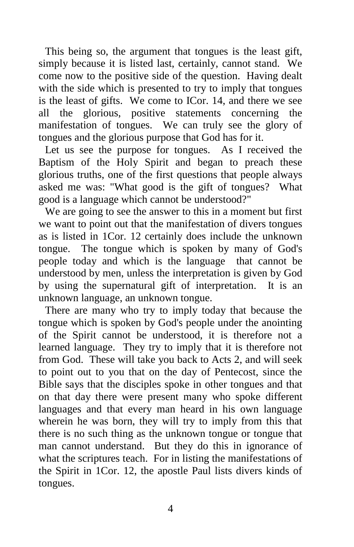This being so, the argument that tongues is the least gift, simply because it is listed last, certainly, cannot stand. We come now to the positive side of the question. Having dealt with the side which is presented to try to imply that tongues is the least of gifts. We come to ICor. 14, and there we see all the glorious, positive statements concerning the manifestation of tongues. We can truly see the glory of tongues and the glorious purpose that God has for it.

Let us see the purpose for tongues. As I received the Baptism of the Holy Spirit and began to preach these glorious truths, one of the first questions that people always asked me was: "What good is the gift of tongues? What good is a language which cannot be understood?"

We are going to see the answer to this in a moment but first we want to point out that the manifestation of divers tongues as is listed in 1Cor. 12 certainly does include the unknown tongue. The tongue which is spoken by many of God's people today and which is the language that cannot be understood by men, unless the interpretation is given by God by using the supernatural gift of interpretation. It is an unknown language, an unknown tongue.

There are many who try to imply today that because the tongue which is spoken by God's people under the anointing of the Spirit cannot be understood, it is therefore not a learned language. They try to imply that it is therefore not from God. These will take you back to Acts 2, and will seek to point out to you that on the day of Pentecost, since the Bible says that the disciples spoke in other tongues and that on that day there were present many who spoke different languages and that every man heard in his own language wherein he was born, they will try to imply from this that there is no such thing as the unknown tongue or tongue that man cannot understand. But they do this in ignorance of what the scriptures teach. For in listing the manifestations of the Spirit in 1Cor. 12, the apostle Paul lists divers kinds of tongues.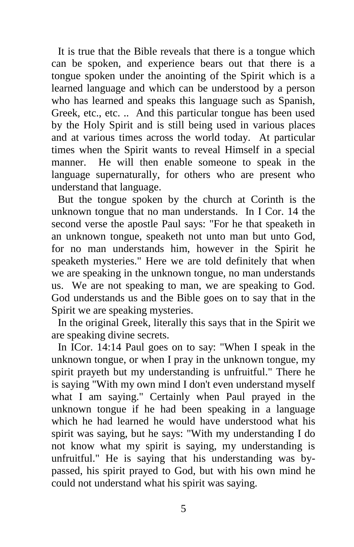It is true that the Bible reveals that there is a tongue which can be spoken, and experience bears out that there is a tongue spoken under the anointing of the Spirit which is a learned language and which can be understood by a person who has learned and speaks this language such as Spanish, Greek, etc., etc. .. And this particular tongue has been used by the Holy Spirit and is still being used in various places and at various times across the world today. At particular times when the Spirit wants to reveal Himself in a special manner. He will then enable someone to speak in the language supernaturally, for others who are present who understand that language.

But the tongue spoken by the church at Corinth is the unknown tongue that no man understands. In I Cor. 14 the second verse the apostle Paul says: "For he that speaketh in an unknown tongue, speaketh not unto man but unto God, for no man understands him, however in the Spirit he speaketh mysteries." Here we are told definitely that when we are speaking in the unknown tongue, no man understands us. We are not speaking to man, we are speaking to God. God understands us and the Bible goes on to say that in the Spirit we are speaking mysteries.

In the original Greek, literally this says that in the Spirit we are speaking divine secrets.

In ICor. 14:14 Paul goes on to say: "When I speak in the unknown tongue, or when I pray in the unknown tongue, my spirit prayeth but my understanding is unfruitful." There he is saying "With my own mind I don't even understand myself what I am saying." Certainly when Paul prayed in the unknown tongue if he had been speaking in a language which he had learned he would have understood what his spirit was saying, but he says: "With my understanding I do not know what my spirit is saying, my understanding is unfruitful." He is saying that his understanding was bypassed, his spirit prayed to God, but with his own mind he could not understand what his spirit was saying.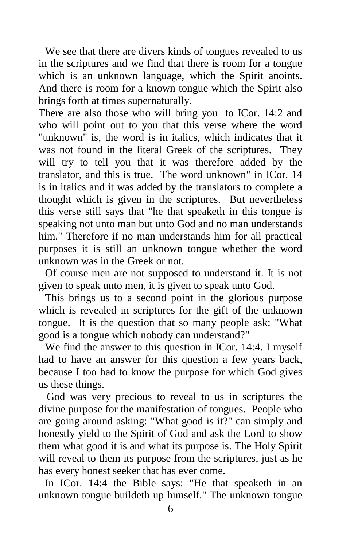We see that there are divers kinds of tongues revealed to us in the scriptures and we find that there is room for a tongue which is an unknown language, which the Spirit anoints. And there is room for a known tongue which the Spirit also brings forth at times supernaturally.

There are also those who will bring you to ICor. 14:2 and who will point out to you that this verse where the word "unknown" is, the word is in italics, which indicates that it was not found in the literal Greek of the scriptures. They will try to tell you that it was therefore added by the translator, and this is true. The word unknown" in ICor. 14 is in italics and it was added by the translators to complete a thought which is given in the scriptures. But nevertheless this verse still says that "he that speaketh in this tongue is speaking not unto man but unto God and no man understands him." Therefore if no man understands him for all practical purposes it is still an unknown tongue whether the word unknown was in the Greek or not.

Of course men are not supposed to understand it. It is not given to speak unto men, it is given to speak unto God.

This brings us to a second point in the glorious purpose which is revealed in scriptures for the gift of the unknown tongue. It is the question that so many people ask: "What good is a tongue which nobody can understand?"

We find the answer to this question in ICor. 14:4. I myself had to have an answer for this question a few years back, because I too had to know the purpose for which God gives us these things.

 God was very precious to reveal to us in scriptures the divine purpose for the manifestation of tongues. People who are going around asking: "What good is it?" can simply and honestly yield to the Spirit of God and ask the Lord to show them what good it is and what its purpose is. The Holy Spirit will reveal to them its purpose from the scriptures, just as he has every honest seeker that has ever come.

In ICor. 14:4 the Bible says: "He that speaketh in an unknown tongue buildeth up himself." The unknown tongue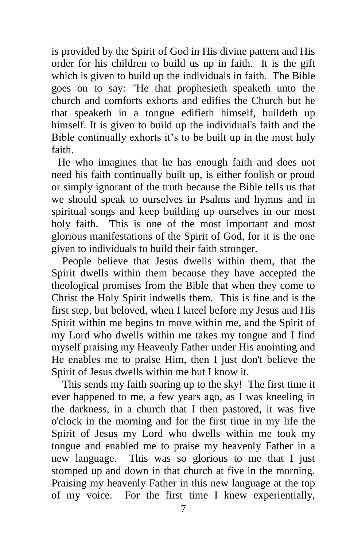is provided by the Spirit of God in His divine pattern and His order for his children to build us up in faith. It is the gift which is given to build up the individuals in faith. The Bible goes on to say: "He that prophesieth speaketh unto the church and comforts exhorts and edifies the Church but he that speaketh in a tongue edifieth himself, buildeth up himself. It is given to build up the individual's faith and the Bible continually exhorts it's to be built up in the most holy faith.

He who imagines that he has enough faith and does not need his faith continually built up, is either foolish or proud or simply ignorant of the truth because the Bible tells us that we should speak to ourselves in Psalms and hymns and in spiritual songs and keep building up ourselves in our most holy faith. This is one of the most important and most glorious manifestations of the Spirit of God, for it is the one given to individuals to build their faith stronger.

 People believe that Jesus dwells within them, that the Spirit dwells within them because they have accepted the theological promises from the Bible that when they come to Christ the Holy Spirit indwells them. This is fine and is the first step, but beloved, when I kneel before my Jesus and His Spirit within me begins to move within me, and the Spirit of my Lord who dwells within me takes my tongue and I find myself praising my Heavenly Father under His anointing and He enables me to praise Him, then I just don't believe the Spirit of Jesus dwells within me but I know it.

 This sends my faith soaring up to the sky! The first time it ever happened to me, a few years ago, as I was kneeling in the darkness, in a church that I then pastored, it was five o'clock in the morning and for the first time in my life the Spirit of Jesus my Lord who dwells within me took my tongue and enabled me to praise my heavenly Father in a new language. This was so glorious to me that I just stomped up and down in that church at five in the morning. Praising my heavenly Father in this new language at the top of my voice. For the first time I knew experientially,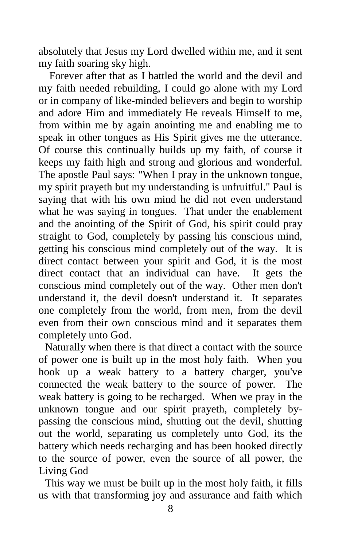absolutely that Jesus my Lord dwelled within me, and it sent my faith soaring sky high.

 Forever after that as I battled the world and the devil and my faith needed rebuilding, I could go alone with my Lord or in company of like-minded believers and begin to worship and adore Him and immediately He reveals Himself to me, from within me by again anointing me and enabling me to speak in other tongues as His Spirit gives me the utterance. Of course this continually builds up my faith, of course it keeps my faith high and strong and glorious and wonderful. The apostle Paul says: "When I pray in the unknown tongue, my spirit prayeth but my understanding is unfruitful." Paul is saying that with his own mind he did not even understand what he was saying in tongues. That under the enablement and the anointing of the Spirit of God, his spirit could pray straight to God, completely by passing his conscious mind, getting his conscious mind completely out of the way. It is direct contact between your spirit and God, it is the most direct contact that an individual can have. It gets the conscious mind completely out of the way. Other men don't understand it, the devil doesn't understand it. It separates one completely from the world, from men, from the devil even from their own conscious mind and it separates them completely unto God.

Naturally when there is that direct a contact with the source of power one is built up in the most holy faith. When you hook up a weak battery to a battery charger, you've connected the weak battery to the source of power. The weak battery is going to be recharged. When we pray in the unknown tongue and our spirit prayeth, completely bypassing the conscious mind, shutting out the devil, shutting out the world, separating us completely unto God, its the battery which needs recharging and has been hooked directly to the source of power, even the source of all power, the Living God

This way we must be built up in the most holy faith, it fills us with that transforming joy and assurance and faith which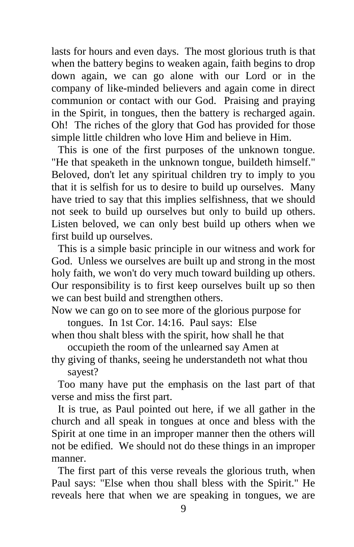lasts for hours and even days. The most glorious truth is that when the battery begins to weaken again, faith begins to drop down again, we can go alone with our Lord or in the company of like-minded believers and again come in direct communion or contact with our God. Praising and praying in the Spirit, in tongues, then the battery is recharged again. Oh! The riches of the glory that God has provided for those simple little children who love Him and believe in Him.

This is one of the first purposes of the unknown tongue. "He that speaketh in the unknown tongue, buildeth himself." Beloved, don't let any spiritual children try to imply to you that it is selfish for us to desire to build up ourselves. Many have tried to say that this implies selfishness, that we should not seek to build up ourselves but only to build up others. Listen beloved, we can only best build up others when we first build up ourselves.

This is a simple basic principle in our witness and work for God. Unless we ourselves are built up and strong in the most holy faith, we won't do very much toward building up others. Our responsibility is to first keep ourselves built up so then we can best build and strengthen others.

Now we can go on to see more of the glorious purpose for tongues. In 1st Cor. 14:16. Paul says: Else

when thou shalt bless with the spirit, how shall he that occupieth the room of the unlearned say Amen at

thy giving of thanks, seeing he understandeth not what thou sayest?

Too many have put the emphasis on the last part of that verse and miss the first part.

It is true, as Paul pointed out here, if we all gather in the church and all speak in tongues at once and bless with the Spirit at one time in an improper manner then the others will not be edified. We should not do these things in an improper manner.

The first part of this verse reveals the glorious truth, when Paul says: "Else when thou shall bless with the Spirit." He reveals here that when we are speaking in tongues, we are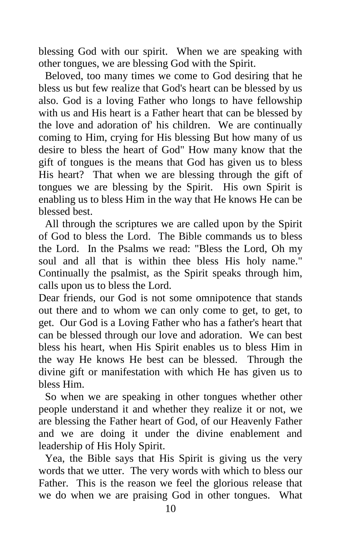blessing God with our spirit. When we are speaking with other tongues, we are blessing God with the Spirit.

Beloved, too many times we come to God desiring that he bless us but few realize that God's heart can be blessed by us also. God is a loving Father who longs to have fellowship with us and His heart is a Father heart that can be blessed by the love and adoration of' his children. We are continually coming to Him, crying for His blessing But how many of us desire to bless the heart of God" How many know that the gift of tongues is the means that God has given us to bless His heart? That when we are blessing through the gift of tongues we are blessing by the Spirit. His own Spirit is enabling us to bless Him in the way that He knows He can be blessed best.

All through the scriptures we are called upon by the Spirit of God to bless the Lord. The Bible commands us to bless the Lord. In the Psalms we read: "Bless the Lord, Oh my soul and all that is within thee bless His holy name." Continually the psalmist, as the Spirit speaks through him, calls upon us to bless the Lord.

Dear friends, our God is not some omnipotence that stands out there and to whom we can only come to get, to get, to get. Our God is a Loving Father who has a father's heart that can be blessed through our love and adoration. We can best bless his heart, when His Spirit enables us to bless Him in the way He knows He best can be blessed. Through the divine gift or manifestation with which He has given us to bless Him.

So when we are speaking in other tongues whether other people understand it and whether they realize it or not, we are blessing the Father heart of God, of our Heavenly Father and we are doing it under the divine enablement and leadership of His Holy Spirit.

Yea, the Bible says that His Spirit is giving us the very words that we utter. The very words with which to bless our Father. This is the reason we feel the glorious release that we do when we are praising God in other tongues. What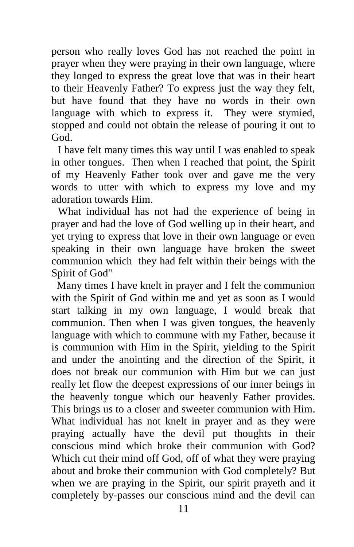person who really loves God has not reached the point in prayer when they were praying in their own language, where they longed to express the great love that was in their heart to their Heavenly Father? To express just the way they felt, but have found that they have no words in their own language with which to express it. They were stymied, stopped and could not obtain the release of pouring it out to God.

I have felt many times this way until I was enabled to speak in other tongues. Then when I reached that point, the Spirit of my Heavenly Father took over and gave me the very words to utter with which to express my love and my adoration towards Him.

What individual has not had the experience of being in prayer and had the love of God welling up in their heart, and yet trying to express that love in their own language or even speaking in their own language have broken the sweet communion which they had felt within their beings with the Spirit of God"

 Many times I have knelt in prayer and I felt the communion with the Spirit of God within me and yet as soon as I would start talking in my own language, I would break that communion. Then when I was given tongues, the heavenly language with which to commune with my Father, because it is communion with Him in the Spirit, yielding to the Spirit and under the anointing and the direction of the Spirit, it does not break our communion with Him but we can just really let flow the deepest expressions of our inner beings in the heavenly tongue which our heavenly Father provides. This brings us to a closer and sweeter communion with Him. What individual has not knelt in prayer and as they were praying actually have the devil put thoughts in their conscious mind which broke their communion with God? Which cut their mind off God, off of what they were praying about and broke their communion with God completely? But when we are praying in the Spirit, our spirit prayeth and it completely by-passes our conscious mind and the devil can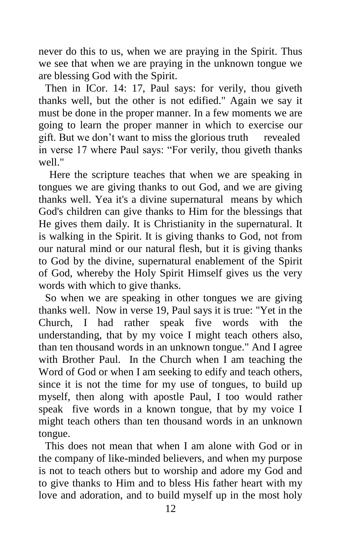never do this to us, when we are praying in the Spirit. Thus we see that when we are praying in the unknown tongue we are blessing God with the Spirit.

Then in ICor. 14: 17, Paul says: for verily, thou giveth thanks well, but the other is not edified." Again we say it must be done in the proper manner. In a few moments we are going to learn the proper manner in which to exercise our gift. But we don't want to miss the glorious truth revealed in verse 17 where Paul says: "For verily, thou giveth thanks well<sup>"</sup>

 Here the scripture teaches that when we are speaking in tongues we are giving thanks to out God, and we are giving thanks well. Yea it's a divine supernatural means by which God's children can give thanks to Him for the blessings that He gives them daily. It is Christianity in the supernatural. It is walking in the Spirit. It is giving thanks to God, not from our natural mind or our natural flesh, but it is giving thanks to God by the divine, supernatural enablement of the Spirit of God, whereby the Holy Spirit Himself gives us the very words with which to give thanks.

So when we are speaking in other tongues we are giving thanks well. Now in verse 19, Paul says it is true: "Yet in the Church, I had rather speak five words with the understanding, that by my voice I might teach others also, than ten thousand words in an unknown tongue." And I agree with Brother Paul. In the Church when I am teaching the Word of God or when I am seeking to edify and teach others, since it is not the time for my use of tongues, to build up myself, then along with apostle Paul, I too would rather speak five words in a known tongue, that by my voice I might teach others than ten thousand words in an unknown tongue.

This does not mean that when I am alone with God or in the company of like-minded believers, and when my purpose is not to teach others but to worship and adore my God and to give thanks to Him and to bless His father heart with my love and adoration, and to build myself up in the most holy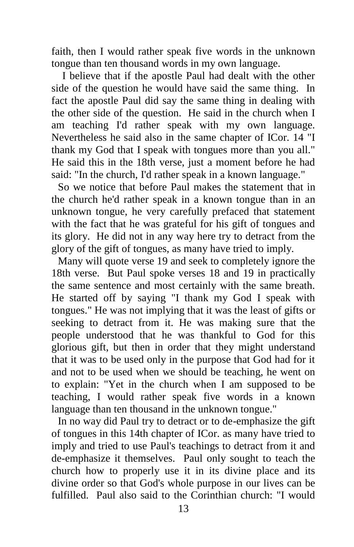faith, then I would rather speak five words in the unknown tongue than ten thousand words in my own language.

 I believe that if the apostle Paul had dealt with the other side of the question he would have said the same thing. In fact the apostle Paul did say the same thing in dealing with the other side of the question. He said in the church when I am teaching I'd rather speak with my own language. Nevertheless he said also in the same chapter of ICor. 14 "I thank my God that I speak with tongues more than you all." He said this in the 18th verse, just a moment before he had said: "In the church, I'd rather speak in a known language."

So we notice that before Paul makes the statement that in the church he'd rather speak in a known tongue than in an unknown tongue, he very carefully prefaced that statement with the fact that he was grateful for his gift of tongues and its glory. He did not in any way here try to detract from the glory of the gift of tongues, as many have tried to imply.

Many will quote verse 19 and seek to completely ignore the 18th verse. But Paul spoke verses 18 and 19 in practically the same sentence and most certainly with the same breath. He started off by saying "I thank my God I speak with tongues." He was not implying that it was the least of gifts or seeking to detract from it. He was making sure that the people understood that he was thankful to God for this glorious gift, but then in order that they might understand that it was to be used only in the purpose that God had for it and not to be used when we should be teaching, he went on to explain: "Yet in the church when I am supposed to be teaching, I would rather speak five words in a known language than ten thousand in the unknown tongue."

In no way did Paul try to detract or to de-emphasize the gift of tongues in this 14th chapter of ICor. as many have tried to imply and tried to use Paul's teachings to detract from it and de-emphasize it themselves. Paul only sought to teach the church how to properly use it in its divine place and its divine order so that God's whole purpose in our lives can be fulfilled. Paul also said to the Corinthian church: "I would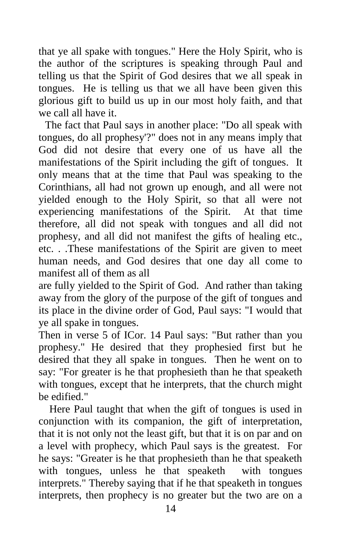that ye all spake with tongues." Here the Holy Spirit, who is the author of the scriptures is speaking through Paul and telling us that the Spirit of God desires that we all speak in tongues. He is telling us that we all have been given this glorious gift to build us up in our most holy faith, and that we call all have it.

The fact that Paul says in another place: "Do all speak with tongues, do all prophesy'?" does not in any means imply that God did not desire that every one of us have all the manifestations of the Spirit including the gift of tongues. It only means that at the time that Paul was speaking to the Corinthians, all had not grown up enough, and all were not yielded enough to the Holy Spirit, so that all were not experiencing manifestations of the Spirit. At that time therefore, all did not speak with tongues and all did not prophesy, and all did not manifest the gifts of healing etc., etc. . .These manifestations of the Spirit are given to meet human needs, and God desires that one day all come to manifest all of them as all

are fully yielded to the Spirit of God. And rather than taking away from the glory of the purpose of the gift of tongues and its place in the divine order of God, Paul says: "I would that ye all spake in tongues.

Then in verse 5 of ICor. 14 Paul says: "But rather than you prophesy." He desired that they prophesied first but he desired that they all spake in tongues. Then he went on to say: "For greater is he that prophesieth than he that speaketh with tongues, except that he interprets, that the church might be edified."

 Here Paul taught that when the gift of tongues is used in conjunction with its companion, the gift of interpretation, that it is not only not the least gift, but that it is on par and on a level with prophecy, which Paul says is the greatest. For he says: "Greater is he that prophesieth than he that speaketh with tongues, unless he that speaketh with tongues interprets." Thereby saying that if he that speaketh in tongues interprets, then prophecy is no greater but the two are on a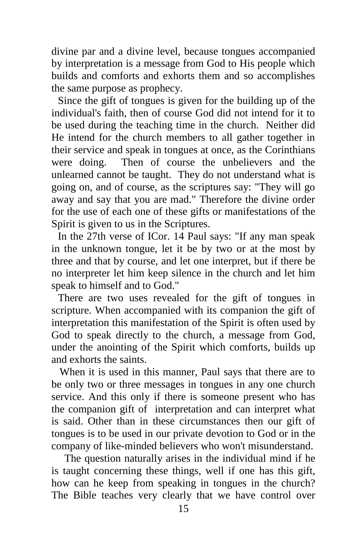divine par and a divine level, because tongues accompanied by interpretation is a message from God to His people which builds and comforts and exhorts them and so accomplishes the same purpose as prophecy.

Since the gift of tongues is given for the building up of the individual's faith, then of course God did not intend for it to be used during the teaching time in the church. Neither did He intend for the church members to all gather together in their service and speak in tongues at once, as the Corinthians were doing. Then of course the unbelievers and the unlearned cannot be taught. They do not understand what is going on, and of course, as the scriptures say: "They will go away and say that you are mad." Therefore the divine order for the use of each one of these gifts or manifestations of the Spirit is given to us in the Scriptures.

In the 27th verse of ICor. 14 Paul says: "If any man speak in the unknown tongue, let it be by two or at the most by three and that by course, and let one interpret, but if there be no interpreter let him keep silence in the church and let him speak to himself and to God."

There are two uses revealed for the gift of tongues in scripture. When accompanied with its companion the gift of interpretation this manifestation of the Spirit is often used by God to speak directly to the church, a message from God, under the anointing of the Spirit which comforts, builds up and exhorts the saints.

 When it is used in this manner, Paul says that there are to be only two or three messages in tongues in any one church service. And this only if there is someone present who has the companion gift of interpretation and can interpret what is said. Other than in these circumstances then our gift of tongues is to be used in our private devotion to God or in the company of like-minded believers who won't misunderstand.

The question naturally arises in the individual mind if he is taught concerning these things, well if one has this gift, how can he keep from speaking in tongues in the church? The Bible teaches very clearly that we have control over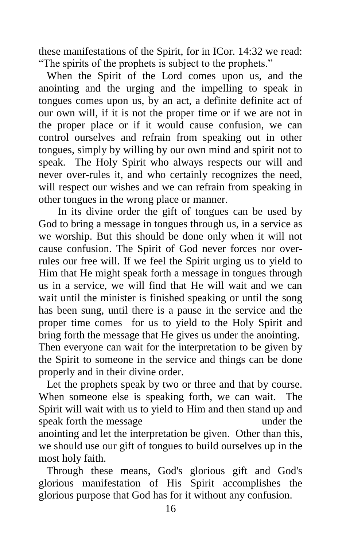these manifestations of the Spirit, for in ICor. 14:32 we read: "The spirits of the prophets is subject to the prophets."

When the Spirit of the Lord comes upon us, and the anointing and the urging and the impelling to speak in tongues comes upon us, by an act, a definite definite act of our own will, if it is not the proper time or if we are not in the proper place or if it would cause confusion, we can control ourselves and refrain from speaking out in other tongues, simply by willing by our own mind and spirit not to speak. The Holy Spirit who always respects our will and never over-rules it, and who certainly recognizes the need, will respect our wishes and we can refrain from speaking in other tongues in the wrong place or manner.

In its divine order the gift of tongues can be used by God to bring a message in tongues through us, in a service as we worship. But this should be done only when it will not cause confusion. The Spirit of God never forces nor overrules our free will. If we feel the Spirit urging us to yield to Him that He might speak forth a message in tongues through us in a service, we will find that He will wait and we can wait until the minister is finished speaking or until the song has been sung, until there is a pause in the service and the proper time comes for us to yield to the Holy Spirit and bring forth the message that He gives us under the anointing. Then everyone can wait for the interpretation to be given by the Spirit to someone in the service and things can be done

properly and in their divine order.

 Let the prophets speak by two or three and that by course. When someone else is speaking forth, we can wait. The Spirit will wait with us to yield to Him and then stand up and speak forth the message under the anointing and let the interpretation be given. Other than this, we should use our gift of tongues to build ourselves up in the most holy faith.

 Through these means, God's glorious gift and God's glorious manifestation of His Spirit accomplishes the glorious purpose that God has for it without any confusion.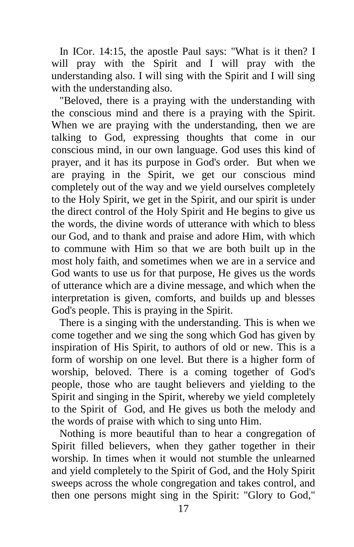In ICor. 14:15, the apostle Paul says: "What is it then? I will pray with the Spirit and I will pray with the understanding also. I will sing with the Spirit and I will sing with the understanding also.

 "Beloved, there is a praying with the understanding with the conscious mind and there is a praying with the Spirit. When we are praying with the understanding, then we are talking to God, expressing thoughts that come in our conscious mind, in our own language. God uses this kind of prayer, and it has its purpose in God's order. But when we are praying in the Spirit, we get our conscious mind completely out of the way and we yield ourselves completely to the Holy Spirit, we get in the Spirit, and our spirit is under the direct control of the Holy Spirit and He begins to give us the words, the divine words of utterance with which to bless our God, and to thank and praise and adore Him, with which to commune with Him so that we are both built up in the most holy faith, and sometimes when we are in a service and God wants to use us for that purpose, He gives us the words of utterance which are a divine message, and which when the interpretation is given, comforts, and builds up and blesses God's people. This is praying in the Spirit.

 There is a singing with the understanding. This is when we come together and we sing the song which God has given by inspiration of His Spirit, to authors of old or new. This is a form of worship on one level. But there is a higher form of worship, beloved. There is a coming together of God's people, those who are taught believers and yielding to the Spirit and singing in the Spirit, whereby we yield completely to the Spirit of God, and He gives us both the melody and the words of praise with which to sing unto Him.

 Nothing is more beautiful than to hear a congregation of Spirit filled believers, when they gather together in their worship. In times when it would not stumble the unlearned and yield completely to the Spirit of God, and the Holy Spirit sweeps across the whole congregation and takes control, and then one persons might sing in the Spirit: "Glory to God,"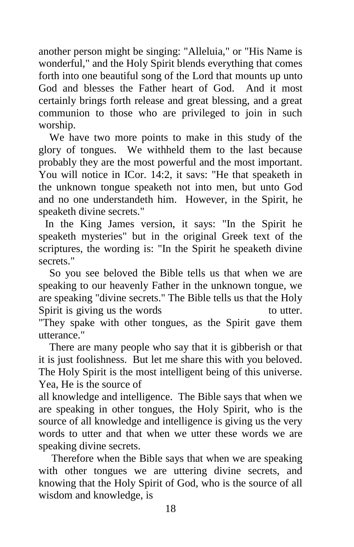another person might be singing: "Alleluia," or "His Name is wonderful," and the Holy Spirit blends everything that comes forth into one beautiful song of the Lord that mounts up unto God and blesses the Father heart of God. And it most certainly brings forth release and great blessing, and a great communion to those who are privileged to join in such worship.

 We have two more points to make in this study of the glory of tongues. We withheld them to the last because probably they are the most powerful and the most important. You will notice in ICor. 14:2, it savs: "He that speaketh in the unknown tongue speaketh not into men, but unto God and no one understandeth him. However, in the Spirit, he speaketh divine secrets."

In the King James version, it says: "In the Spirit he speaketh mysteries" but in the original Greek text of the scriptures, the wording is: "In the Spirit he speaketh divine secrets."

 So you see beloved the Bible tells us that when we are speaking to our heavenly Father in the unknown tongue, we are speaking "divine secrets." The Bible tells us that the Holy Spirit is giving us the words to utter.

"They spake with other tongues, as the Spirit gave them utterance."

 There are many people who say that it is gibberish or that it is just foolishness. But let me share this with you beloved. The Holy Spirit is the most intelligent being of this universe. Yea, He is the source of

all knowledge and intelligence. The Bible says that when we are speaking in other tongues, the Holy Spirit, who is the source of all knowledge and intelligence is giving us the very words to utter and that when we utter these words we are speaking divine secrets.

Therefore when the Bible says that when we are speaking with other tongues we are uttering divine secrets, and knowing that the Holy Spirit of God, who is the source of all wisdom and knowledge, is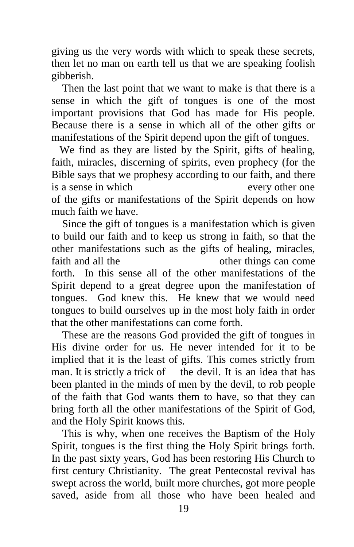giving us the very words with which to speak these secrets, then let no man on earth tell us that we are speaking foolish gibberish.

 Then the last point that we want to make is that there is a sense in which the gift of tongues is one of the most important provisions that God has made for His people. Because there is a sense in which all of the other gifts or manifestations of the Spirit depend upon the gift of tongues.

 We find as they are listed by the Spirit, gifts of healing, faith, miracles, discerning of spirits, even prophecy (for the Bible says that we prophesy according to our faith, and there is a sense in which every other one of the gifts or manifestations of the Spirit depends on how much faith we have.

 Since the gift of tongues is a manifestation which is given to build our faith and to keep us strong in faith, so that the other manifestations such as the gifts of healing, miracles, faith and all the other things can come forth. In this sense all of the other manifestations of the Spirit depend to a great degree upon the manifestation of tongues. God knew this. He knew that we would need tongues to build ourselves up in the most holy faith in order that the other manifestations can come forth.

 These are the reasons God provided the gift of tongues in His divine order for us. He never intended for it to be implied that it is the least of gifts. This comes strictly from man. It is strictly a trick of the devil. It is an idea that has been planted in the minds of men by the devil, to rob people of the faith that God wants them to have, so that they can bring forth all the other manifestations of the Spirit of God, and the Holy Spirit knows this.

 This is why, when one receives the Baptism of the Holy Spirit, tongues is the first thing the Holy Spirit brings forth. In the past sixty years, God has been restoring His Church to first century Christianity. The great Pentecostal revival has swept across the world, built more churches, got more people saved, aside from all those who have been healed and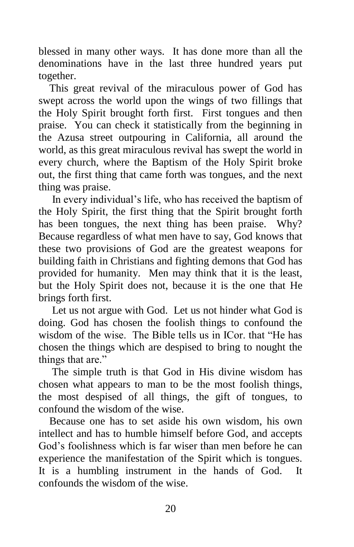blessed in many other ways. It has done more than all the denominations have in the last three hundred years put together.

 This great revival of the miraculous power of God has swept across the world upon the wings of two fillings that the Holy Spirit brought forth first. First tongues and then praise. You can check it statistically from the beginning in the Azusa street outpouring in California, all around the world, as this great miraculous revival has swept the world in every church, where the Baptism of the Holy Spirit broke out, the first thing that came forth was tongues, and the next thing was praise.

 In every individual's life, who has received the baptism of the Holy Spirit, the first thing that the Spirit brought forth has been tongues, the next thing has been praise. Why? Because regardless of what men have to say, God knows that these two provisions of God are the greatest weapons for building faith in Christians and fighting demons that God has provided for humanity. Men may think that it is the least, but the Holy Spirit does not, because it is the one that He brings forth first.

 Let us not argue with God. Let us not hinder what God is doing. God has chosen the foolish things to confound the wisdom of the wise. The Bible tells us in ICor. that "He has chosen the things which are despised to bring to nought the things that are."

 The simple truth is that God in His divine wisdom has chosen what appears to man to be the most foolish things, the most despised of all things, the gift of tongues, to confound the wisdom of the wise.

 Because one has to set aside his own wisdom, his own intellect and has to humble himself before God, and accepts God's foolishness which is far wiser than men before he can experience the manifestation of the Spirit which is tongues. It is a humbling instrument in the hands of God. It confounds the wisdom of the wise.